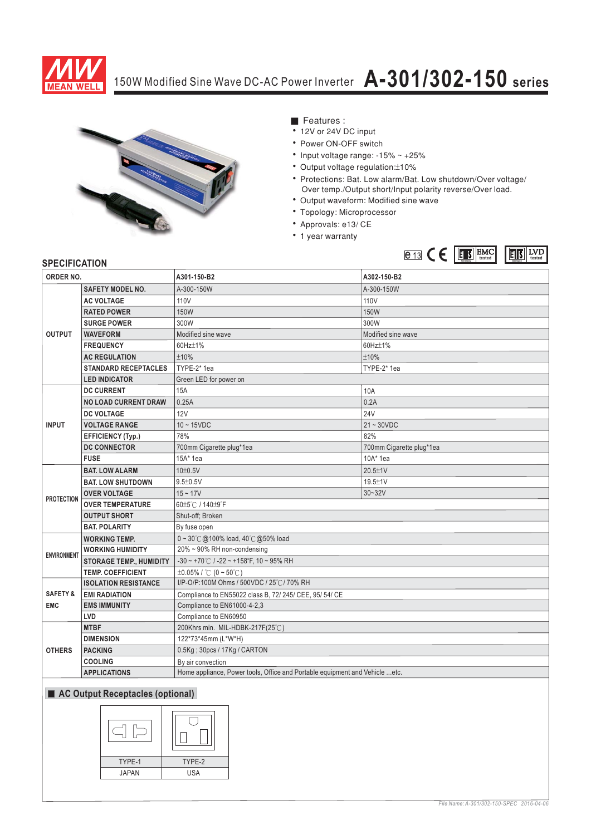

# 150W Modified Sine Wave DC-AC Power Inverter **A-301/302-150 series**



- Features :
- 12V or 24V DC input
- Power ON-OFF switch
- Input voltage range: -15% ~ +25%
- Output voltage regulation:±10%
- \* Protections: Bat. Low alarm/Bat. Low shutdown/Over voltage/ Over temp./Output short/Input polarity reverse/Over load.
- Output waveform: Modified sine wave
- Topology: Microprocessor
- Approvals: e13/ CE
- 1 year warranty



### **SPECIFICATION**

| ORDER NO.                                        |                                                    | A301-150-B2                                                                 | A302-150-B2              |  |  |
|--------------------------------------------------|----------------------------------------------------|-----------------------------------------------------------------------------|--------------------------|--|--|
| <b>OUTPUT</b>                                    | <b>SAFETY MODEL NO.</b>                            | A-300-150W                                                                  | A-300-150W               |  |  |
|                                                  | <b>AC VOLTAGE</b>                                  | 110V                                                                        | 110V                     |  |  |
|                                                  | <b>RATED POWER</b>                                 | 150W                                                                        | <b>150W</b>              |  |  |
|                                                  | <b>SURGE POWER</b>                                 | 300W                                                                        | 300W                     |  |  |
|                                                  | <b>WAVEFORM</b>                                    | Modified sine wave                                                          | Modified sine wave       |  |  |
|                                                  | <b>FREQUENCY</b>                                   | 60Hz±1%                                                                     | 60Hz±1%                  |  |  |
|                                                  | <b>AC REGULATION</b>                               | ±10%                                                                        | ±10%                     |  |  |
|                                                  | <b>STANDARD RECEPTACLES</b>                        | TYPE-2* 1ea                                                                 | TYPE-2* 1ea              |  |  |
|                                                  | <b>LED INDICATOR</b>                               | Green LED for power on                                                      |                          |  |  |
| <b>INPUT</b>                                     | <b>DC CURRENT</b>                                  | 15A                                                                         | 10A                      |  |  |
|                                                  | <b>NO LOAD CURRENT DRAW</b>                        | 0.25A                                                                       | 0.2A                     |  |  |
|                                                  | <b>DC VOLTAGE</b>                                  | 12V                                                                         | 24V                      |  |  |
|                                                  | <b>VOLTAGE RANGE</b>                               | $10 \sim 15$ VDC                                                            | $21 - 30VDC$             |  |  |
|                                                  | <b>EFFICIENCY (Typ.)</b>                           | 78%                                                                         | 82%                      |  |  |
|                                                  | <b>DC CONNECTOR</b>                                | 700mm Cigarette plug*1ea                                                    | 700mm Cigarette plug*1ea |  |  |
|                                                  | <b>FUSE</b>                                        | 15A* 1ea                                                                    | $10A*$ 1ea               |  |  |
| <b>PROTECTION</b>                                | <b>BAT. LOW ALARM</b>                              | 10±0.5V                                                                     | 20.5±1V                  |  |  |
|                                                  | <b>BAT. LOW SHUTDOWN</b>                           | $9.5 \pm 0.5 V$                                                             | 19.5±1V                  |  |  |
|                                                  | <b>OVER VOLTAGE</b>                                | $15 - 17V$                                                                  | $30 - 32V$               |  |  |
|                                                  | <b>OVER TEMPERATURE</b>                            | 60±5℃ / 140±9°F                                                             |                          |  |  |
|                                                  | <b>OUTPUT SHORT</b>                                | Shut-off; Broken                                                            |                          |  |  |
|                                                  | <b>BAT. POLARITY</b>                               | By fuse open                                                                |                          |  |  |
| <b>ENVIRONMENT</b>                               | <b>WORKING TEMP.</b>                               | $0 \sim 30^{\circ}$ @100% load, 40 $^{\circ}$ @50% load                     |                          |  |  |
|                                                  | <b>WORKING HUMIDITY</b>                            | 20% ~ 90% RH non-condensing                                                 |                          |  |  |
|                                                  | <b>STORAGE TEMP., HUMIDITY</b>                     | $-30 \sim +70^{\circ}$ C / $-22 \sim +158^{\circ}$ F, 10 ~ 95% RH           |                          |  |  |
|                                                  | <b>TEMP. COEFFICIENT</b>                           | $\pm 0.05\%$ / °C (0 ~ 50°C)                                                |                          |  |  |
|                                                  | <b>ISOLATION RESISTANCE</b>                        | I/P-O/P:100M Ohms / 500VDC / 25°C / 70% RH                                  |                          |  |  |
| <b>SAFETY &amp;</b>                              | <b>EMI RADIATION</b>                               | Compliance to EN55022 class B, 72/ 245/ CEE, 95/ 54/ CE                     |                          |  |  |
| <b>EMC</b>                                       | Compliance to EN61000-4-2,3<br><b>EMS IMMUNITY</b> |                                                                             |                          |  |  |
|                                                  | LVD                                                | Compliance to EN60950                                                       |                          |  |  |
| <b>OTHERS</b>                                    | <b>MTBF</b>                                        | 200Khrs min. MIL-HDBK-217F(25℃)                                             |                          |  |  |
|                                                  | <b>DIMENSION</b>                                   | 122*73*45mm (L*W*H)                                                         |                          |  |  |
|                                                  | <b>PACKING</b>                                     | 0.5Kg; 30pcs / 17Kg / CARTON                                                |                          |  |  |
|                                                  | <b>COOLING</b>                                     | By air convection                                                           |                          |  |  |
|                                                  | <b>APPLICATIONS</b>                                | Home appliance, Power tools, Office and Portable equipment and Vehicle etc. |                          |  |  |
| $\blacksquare$ AC Output Becombinates (entiqual) |                                                    |                                                                             |                          |  |  |

#### **AC Output Receptacles (optional)**

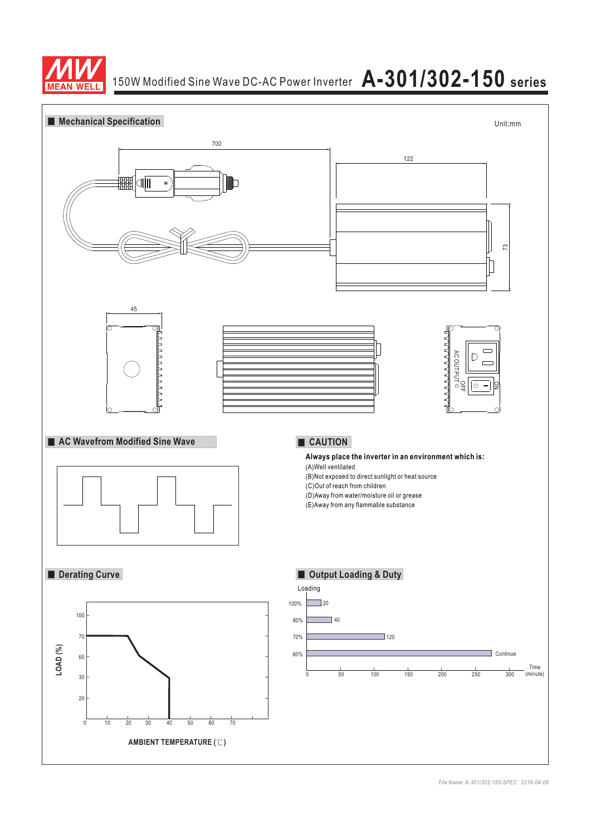

# 150W Modified Sine Wave DC-AC Power Inverter **A-301/302-150 series**

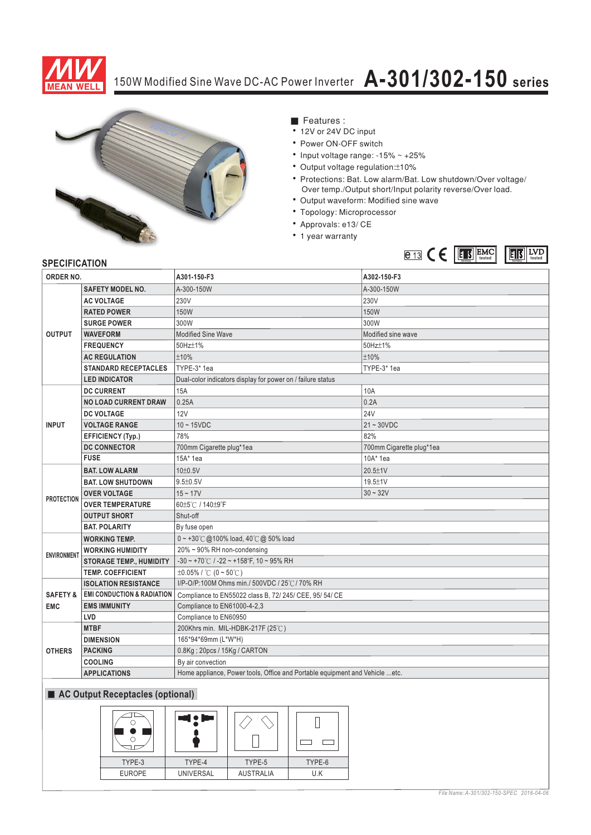

# 150W Modified Sine Wave DC-AC Power Inverter **A-301/302-150 series**



- Features :
- 12V or 24V DC input
- Power ON-OFF switch
- Input voltage range: -15% ~ +25%
- Output voltage regulation:±10%
- \* Protections: Bat. Low alarm/Bat. Low shutdown/Over voltage/ Over temp./Output short/Input polarity reverse/Over load.
- Output waveform: Modified sine wave
- Topology: Microprocessor
- Approvals: e13/ CE
- 1 year warranty



### **SPECIFICATION**

| ORDER NO.                         |                                       | A301-150-F3                                                                  | A302-150-F3              |  |  |
|-----------------------------------|---------------------------------------|------------------------------------------------------------------------------|--------------------------|--|--|
| <b>OUTPUT</b>                     | <b>SAFETY MODEL NO.</b>               | A-300-150W                                                                   | A-300-150W               |  |  |
|                                   | <b>AC VOLTAGE</b>                     | 230V                                                                         | 230V                     |  |  |
|                                   | <b>RATED POWER</b>                    | 150W                                                                         | <b>150W</b>              |  |  |
|                                   | <b>SURGE POWER</b>                    | 300W                                                                         | 300W                     |  |  |
|                                   | <b>WAVEFORM</b>                       | <b>Modified Sine Wave</b>                                                    | Modified sine wave       |  |  |
|                                   | <b>FREQUENCY</b>                      | 50Hz±1%                                                                      | 50Hz±1%                  |  |  |
|                                   | <b>AC REGULATION</b>                  | ±10%                                                                         | ±10%                     |  |  |
|                                   | <b>STANDARD RECEPTACLES</b>           | TYPE-3* 1ea                                                                  | TYPE-3* 1ea              |  |  |
|                                   | <b>LED INDICATOR</b>                  | Dual-color indicators display for power on / failure status                  |                          |  |  |
| <b>INPUT</b>                      | <b>DC CURRENT</b>                     | 15A                                                                          | 10A                      |  |  |
|                                   | <b>NO LOAD CURRENT DRAW</b>           | 0.25A                                                                        | 0.2A                     |  |  |
|                                   | <b>DC VOLTAGE</b>                     | 12V                                                                          | <b>24V</b>               |  |  |
|                                   | <b>VOLTAGE RANGE</b>                  | $10 - 15$ VDC                                                                | $21 - 30VDC$             |  |  |
|                                   | <b>EFFICIENCY (Typ.)</b>              | 78%                                                                          | 82%                      |  |  |
|                                   | <b>DC CONNECTOR</b>                   | 700mm Cigarette plug*1ea                                                     | 700mm Cigarette plug*1ea |  |  |
|                                   | <b>FUSE</b>                           | 15A* 1ea                                                                     | 10A* 1ea                 |  |  |
| <b>PROTECTION</b>                 | <b>BAT. LOW ALARM</b>                 | 10±0.5V                                                                      | 20.5±1V                  |  |  |
|                                   | <b>BAT. LOW SHUTDOWN</b>              | $9.5 \pm 0.5$ V                                                              | 19.5±1V                  |  |  |
|                                   | <b>OVER VOLTAGE</b>                   | $15 - 17V$                                                                   | $30 - 32V$               |  |  |
|                                   | <b>OVER TEMPERATURE</b>               | 60±5℃ / 140±9°F                                                              |                          |  |  |
|                                   | <b>OUTPUT SHORT</b>                   | Shut-off                                                                     |                          |  |  |
|                                   | <b>BAT. POLARITY</b>                  | By fuse open                                                                 |                          |  |  |
| <b>ENVIRONMENT</b>                | <b>WORKING TEMP.</b>                  | $0 \sim +30^{\circ}$ @ 100% load, 40°C @ 50% load                            |                          |  |  |
|                                   | <b>WORKING HUMIDITY</b>               | 20% ~ 90% RH non-condensing                                                  |                          |  |  |
|                                   | <b>STORAGE TEMP., HUMIDITY</b>        | $-30 \sim +70^{\circ}$ C / $-22 \sim +158^{\circ}$ F, 10 ~ 95% RH            |                          |  |  |
|                                   | <b>TEMP. COEFFICIENT</b>              | $\pm 0.05\%$ / °C (0 ~ 50°C)                                                 |                          |  |  |
| <b>SAFETY &amp;</b><br><b>EMC</b> | <b>ISOLATION RESISTANCE</b>           | I/P-O/P:100M Ohms min./ 500VDC / 25°C / 70% RH                               |                          |  |  |
|                                   | <b>EMI CONDUCTION &amp; RADIATION</b> | Compliance to EN55022 class B, 72/ 245/ CEE, 95/ 54/ CE                      |                          |  |  |
|                                   | <b>EMS IMMUNITY</b>                   | Compliance to EN61000-4-2,3                                                  |                          |  |  |
|                                   | LVD                                   | Compliance to EN60950                                                        |                          |  |  |
| <b>OTHERS</b>                     | <b>MTBF</b>                           | 200Khrs min. MIL-HDBK-217F (25°C)                                            |                          |  |  |
|                                   | <b>DIMENSION</b>                      | 165*94*69mm (L*W*H)                                                          |                          |  |  |
|                                   | <b>PACKING</b>                        | 0.8Kg; 20pcs / 15Kg / CARTON                                                 |                          |  |  |
|                                   | <b>COOLING</b>                        | By air convection                                                            |                          |  |  |
|                                   | <b>APPLICATIONS</b>                   | Home appliance, Power tools, Office and Portable equipment and Vehicle  etc. |                          |  |  |
| AC Output Receptacles (optional)  |                                       |                                                                              |                          |  |  |